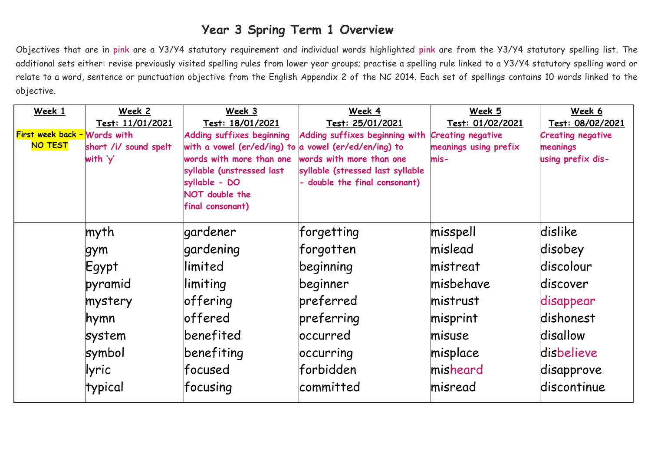## **Year 3 Spring Term 1 Overview**

Objectives that are in pink are a Y3/Y4 statutory requirement and individual words highlighted pink are from the Y3/Y4 statutory spelling list. The additional sets either: revise previously visited spelling rules from lower year groups; practise a spelling rule linked to a Y3/Y4 statutory spelling word or relate to a word, sentence or punctuation objective from the English Appendix 2 of the NC 2014. Each set of spellings contains 10 words linked to the objective.

| Test: 11/01/2021<br>Test: 18/01/2021                      |                                                                 |                       |                          |
|-----------------------------------------------------------|-----------------------------------------------------------------|-----------------------|--------------------------|
|                                                           | Test: 25/01/2021                                                | Test: 01/02/2021      | Test: 08/02/2021         |
| First week back - Words with<br>Adding suffixes beginning | Adding suffixes beginning with Creating negative                |                       | <b>Creating negative</b> |
| NO TEST<br>short /i/ sound spelt                          | with a vowel (er/ed/ing) to a vowel (er/ed/en/ing) to           | meanings using prefix | meanings                 |
| with 'y'<br>words with more than one                      | words with more than one                                        | $mis -$               | using prefix dis-        |
| syllable (unstressed last<br>syllable - DO                | syllable (stressed last syllable<br>double the final consonant) |                       |                          |
| NOT double the                                            |                                                                 |                       |                          |
| final consonant)                                          |                                                                 |                       |                          |
|                                                           |                                                                 |                       |                          |
| myth<br>gardener                                          | forgetting                                                      | misspell              | dislike                  |
| gardening<br>gym                                          | forgotten                                                       | mislead               | disobey                  |
| llimited<br>Egypt                                         | beginning                                                       | mistreat              | discolour                |
| pyramid<br>limiting                                       | beginner                                                        | misbehave             | discover                 |
| offering<br>mystery                                       | preferred                                                       | mistrust              | disappear                |
| loffered<br>hymn                                          | preferring                                                      | misprint              | dishonest                |
| benefited<br>system                                       | <u>loccurred</u>                                                | misuse                | disallow                 |
| benefiting<br>symbol                                      | occurring                                                       | misplace              | disbelieve               |
| lfocused<br>llyric                                        | lforbidden                                                      | misheard              | disapprove               |
| typical<br>$ f$ ocusing                                   | committed                                                       | misread               | discontinue              |